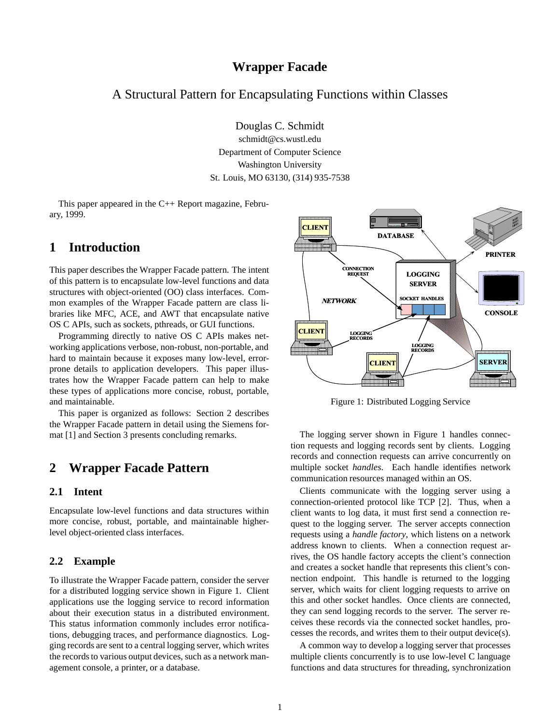# **Wrapper Facade**

# A Structural Pattern for Encapsulating Functions within Classes

Douglas C. Schmidt

schmidt@cs.wustl.edu Department of Computer Science Washington University St. Louis, MO 63130, (314) 935-7538

This paper appeared in the C++ Report magazine, February, 1999.

# **1 Introduction**

This paper describes the Wrapper Facade pattern. The intent of this pattern is to encapsulate low-level functions and data structures with object-oriented (OO) class interfaces. Common examples of the Wrapper Facade pattern are class libraries like MFC, ACE, and AWT that encapsulate native OS C APIs, such as sockets, pthreads, or GUI functions.

Programming directly to native OS C APIs makes networking applications verbose, non-robust, non-portable, and hard to maintain because it exposes many low-level, errorprone details to application developers. This paper illustrates how the Wrapper Facade pattern can help to make these types of applications more concise, robust, portable, and maintainable.

This paper is organized as follows: Section 2 describes the Wrapper Facade pattern in detail using the Siemens format [1] and Section 3 presents concluding remarks.

# **2 Wrapper Facade Pattern**

### **2.1 Intent**

Encapsulate low-level functions and data structures within more concise, robust, portable, and maintainable higherlevel object-oriented class interfaces.

### **2.2 Example**

To illustrate the Wrapper Facade pattern, consider the server for a distributed logging service shown in Figure 1. Client applications use the logging service to record information about their execution status in a distributed environment. This status information commonly includes error notifications, debugging traces, and performance diagnostics. Logging records are sent to a central logging server, which writes the records to various output devices, such as a network management console, a printer, or a database.



Figure 1: Distributed Logging Service

The logging server shown in Figure 1 handles connection requests and logging records sent by clients. Logging records and connection requests can arrive concurrently on multiple socket *handles*. Each handle identifies network communication resources managed within an OS.

Clients communicate with the logging server using a connection-oriented protocol like TCP [2]. Thus, when a client wants to log data, it must first send a connection request to the logging server. The server accepts connection requests using a *handle factory*, which listens on a network address known to clients. When a connection request arrives, the OS handle factory accepts the client's connection and creates a socket handle that represents this client's connection endpoint. This handle is returned to the logging server, which waits for client logging requests to arrive on this and other socket handles. Once clients are connected, they can send logging records to the server. The server receives these records via the connected socket handles, processes the records, and writes them to their output device(s).

A common way to develop a logging server that processes multiple clients concurrently is to use low-level C language functions and data structures for threading, synchronization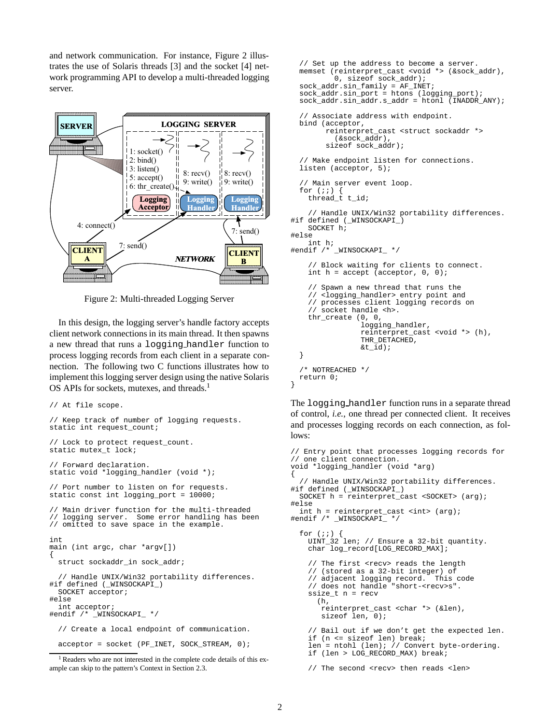and network communication. For instance, Figure 2 illustrates the use of Solaris threads [3] and the socket [4] network programming API to develop a multi-threaded logging server.



Figure 2: Multi-threaded Logging Server

In this design, the logging server's handle factory accepts client network connections in its main thread. It then spawns a new thread that runs a logging handler function to process logging records from each client in a separate connection. The following two C functions illustrates how to implement this logging server design using the native Solaris OS APIs for sockets, mutexes, and threads.<sup>1</sup>

```
// At file scope.
// Keep track of number of logging requests.
static int request count;
// Lock to protect request_count.
static mutex_t lock;
// Forward declaration.
static void *logging_handler (void *);
// Port number to listen on for requests.
static const int logging port = 10000;
// Main driver function for the multi-threaded
// logging server. Some error handling has been
// omitted to save space in the example.
int
main (int argc, char *argv[])
{
  struct sockaddr_in sock_addr;
  // Handle UNIX/Win32 portability differences.
#if defined (_WINSOCKAPI_)
 SOCKET acceptor;
#else
  int acceptor;
#endif /* _WINSOCKAPI_ */
  // Create a local endpoint of communication.
  acceptor = socket (PF_INET, SOCK_STREAM, 0);
```

```
1
Readers who are not interested in the complete code details of this ex-
ample can skip to the pattern's Context in Section 2.3.
```

```
// Set up the address to become a server.
 memset (reinterpret_cast <void *> (&sock_addr),
          0, sizeof sock_addr);
 sock_addr.sin_family = AF_INET;
 sock_addr.sin_port = htons (logging_port);
 sock_addr.sin_addr.s_addr = htonl (INADDR_ANY);
   // Associate address with endpoint.
 bind (acceptor,
        reinterpret cast <struct sockaddr *>
          (&sock_addr),
        sizeof sock_addr);
  // Make endpoint listen for connections.
 listen (acceptor, 5);
  // Main server event loop.
 for (i; j) {
   thread \dot{t} t id;
    // Handle UNIX/Win32 portability differences.
#if defined (_WINSOCKAPI_)
   SOCKET h;
#else
    int h;
#endif /* _WINSOCKAPI_ */
    // Block waiting for clients to connect.
    int h = accept (acceptor, 0, 0);// Spawn a new thread that runs the
    // <logging_handler> entry point and
    // processes client logging records on
    // socket handle <h>.
    thr_create (0, 0,
                logging_handler,
                reinterpret_cast <void *> (h),
                THR_DETACHED,
                \&t id);
 }
  /* NOTREACHED */
 return 0;
}
```
The logging handler function runs in a separate thread of control, *i.e.*, one thread per connected client. It receives and processes logging records on each connection, as follows:

```
// Entry point that processes logging records for
// one client connection.
void *logging_handler (void *arg)
{
  // Handle UNIX/Win32 portability differences.
#if defined (_WINSOCKAPI_)
 SOCKET h = reinterpret_cast <SOCKET> (arg);
#else
 int h = reinterpret_cast <int> (arg);
#endif /* _WINSOCKAPI_ */
 for (i; j)UINT_32 len; // Ensure a 32-bit quantity.
    char log_record[LOG_RECORD_MAX];
    // The first <recv> reads the length
    // (stored as a 32-bit integer) of
    // adjacent logging record. This code
    // does not handle "short-<recv>s".
    ssize t n = recv
      (h,
      reinterpret_cast <char *> (&len),
       sizeof len, 0);
    // Bail out if we don't get the expected len.
    if (n <= sizeof len) break;
    len = ntohl (len); // Convert byte-ordering.
    if (len > LOG_RECORD_MAX) break;
```

```
// The second <recv> then reads <len>
```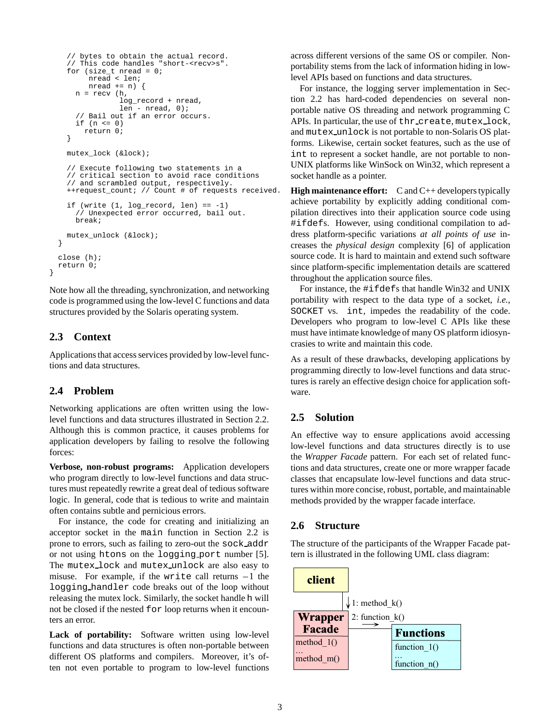```
// bytes to obtain the actual record.
  // This code handles "short-<recv>s".
  for (size_t nread = 0;nread < len;
       nread += n) {
    n = recv (h,log_record + nread,
              len - nread, 0);
    // Bail out if an error occurs.
    if (n \leq 0)return 0;
  }
 mutex_lock (&lock);
  // Execute following two statements in a
  // critical section to avoid race conditions
  // and scrambled output, respectively.
  ++request_count; // Count # of requests received.
  if (write (1, \text{log record}, \text{len}) = -1)
    // Unexpected error occurred, bail out.
    break;
 mutex_unlock (&lock);
}
close (h);
return 0;
```
Note how all the threading, synchronization, and networking code is programmed using the low-level C functions and data structures provided by the Solaris operating system.

### **2.3 Context**

}

Applications that access services provided by low-level functions and data structures.

### **2.4 Problem**

Networking applications are often written using the lowlevel functions and data structures illustrated in Section 2.2. Although this is common practice, it causes problems for application developers by failing to resolve the following forces:

**Verbose, non-robust programs:** Application developers who program directly to low-level functions and data structures must repeatedly rewrite a great deal of tedious software logic. In general, code that is tedious to write and maintain often contains subtle and pernicious errors.

For instance, the code for creating and initializing an acceptor socket in the main function in Section 2.2 is prone to errors, such as failing to zero-out the sock addr or not using htons on the logging port number [5]. The mutex lock and mutex unlock are also easy to misuse. For example, if the write call returns  $-1$  the logging handler code breaks out of the loop without releasing the mutex lock. Similarly, the socket handle h will not be closed if the nested for loop returns when it encounters an error.

Lack of portability: Software written using low-level functions and data structures is often non-portable between different OS platforms and compilers. Moreover, it's often not even portable to program to low-level functions

across different versions of the same OS or compiler. Nonportability stems from the lack of information hiding in lowlevel APIs based on functions and data structures.

For instance, the logging server implementation in Section 2.2 has hard-coded dependencies on several nonportable native OS threading and network programming C APIs. In particular, the use of thr create, mutex lock, and mutex unlock is not portable to non-Solaris OS platforms. Likewise, certain socket features, such as the use of int to represent a socket handle, are not portable to non-UNIX platforms like WinSock on Win32, which represent a socket handle as a pointer.

**High maintenance effort:** C and C++ developers typically achieve portability by explicitly adding conditional compilation directives into their application source code using #ifdefs. However, using conditional compilation to address platform-specific variations *at all points of use* increases the *physical design* complexity [6] of application source code. It is hard to maintain and extend such software since platform-specific implementation details are scattered throughout the application source files.

For instance, the #ifdefs that handle Win32 and UNIX portability with respect to the data type of a socket, *i.e.*, SOCKET vs. int, impedes the readability of the code. Developers who program to low-level C APIs like these must have intimate knowledge of many OS platform idiosyncrasies to write and maintain this code.

As a result of these drawbacks, developing applications by programming directly to low-level functions and data structures is rarely an effective design choice for application software.

## **2.5 Solution**

An effective way to ensure applications avoid accessing low-level functions and data structures directly is to use the *Wrapper Facade* pattern. For each set of related functions and data structures, create one or more wrapper facade classes that encapsulate low-level functions and data structures within more concise, robust, portable, and maintainable methods provided by the wrapper facade interface.

### **2.6 Structure**

The structure of the participants of the Wrapper Facade pattern is illustrated in the following UML class diagram:

| client        |                            |
|---------------|----------------------------|
|               | $\downarrow$ 1: method k() |
| Wrapper       | 2: function $k()$          |
| <b>Facade</b> | <b>Functions</b>           |
| method $1()$  | function $1()$             |
| method $m()$  | function $n()$             |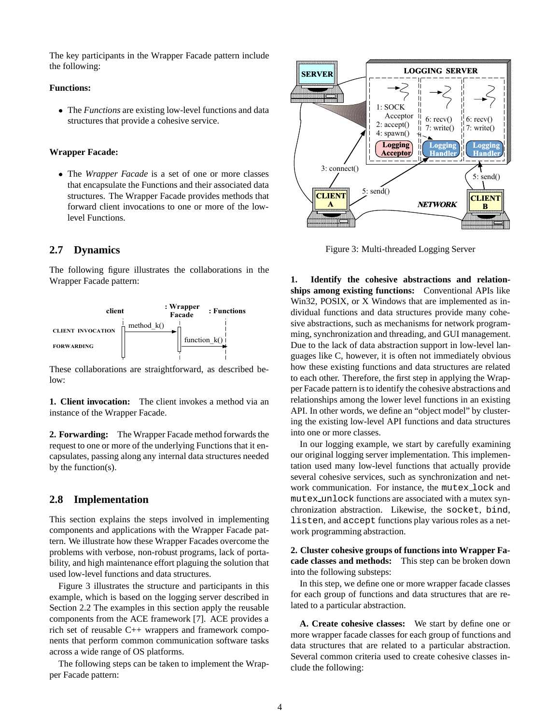The key participants in the Wrapper Facade pattern include the following:

#### **Functions:**

 The *Functions* are existing low-level functions and data structures that provide a cohesive service.

#### **Wrapper Facade:**

 The *Wrapper Facade* is a set of one or more classes that encapsulate the Functions and their associated data structures. The Wrapper Facade provides methods that forward client invocations to one or more of the lowlevel Functions.

#### **2.7 Dynamics**

The following figure illustrates the collaborations in the Wrapper Facade pattern:



These collaborations are straightforward, as described below:

**1. Client invocation:** The client invokes a method via an instance of the Wrapper Facade.

**2. Forwarding:** The Wrapper Facade method forwards the request to one or more of the underlying Functions that it encapsulates, passing along any internal data structures needed by the function(s).

### **2.8 Implementation**

This section explains the steps involved in implementing components and applications with the Wrapper Facade pattern. We illustrate how these Wrapper Facades overcome the problems with verbose, non-robust programs, lack of portability, and high maintenance effort plaguing the solution that used low-level functions and data structures.

Figure 3 illustrates the structure and participants in this example, which is based on the logging server described in Section 2.2 The examples in this section apply the reusable components from the ACE framework [7]. ACE provides a rich set of reusable C++ wrappers and framework components that perform common communication software tasks across a wide range of OS platforms.

The following steps can be taken to implement the Wrapper Facade pattern:



Figure 3: Multi-threaded Logging Server

**1. Identify the cohesive abstractions and relationships among existing functions:** Conventional APIs like Win32, POSIX, or X Windows that are implemented as individual functions and data structures provide many cohesive abstractions, such as mechanisms for network programming, synchronization and threading, and GUI management. Due to the lack of data abstraction support in low-level languages like C, however, it is often not immediately obvious how these existing functions and data structures are related to each other. Therefore, the first step in applying the Wrapper Facade pattern is to identify the cohesive abstractions and relationships among the lower level functions in an existing API. In other words, we define an "object model" by clustering the existing low-level API functions and data structures into one or more classes.

In our logging example, we start by carefully examining our original logging server implementation. This implementation used many low-level functions that actually provide several cohesive services, such as synchronization and network communication. For instance, the mutex lock and mutex unlock functions are associated with a mutex synchronization abstraction. Likewise, the socket, bind, listen, and accept functions play various roles as a network programming abstraction.

**2. Cluster cohesive groups of functions into Wrapper Facade classes and methods:** This step can be broken down into the following substeps:

In this step, we define one or more wrapper facade classes for each group of functions and data structures that are related to a particular abstraction.

**A. Create cohesive classes:** We start by define one or more wrapper facade classes for each group of functions and data structures that are related to a particular abstraction. Several common criteria used to create cohesive classes include the following: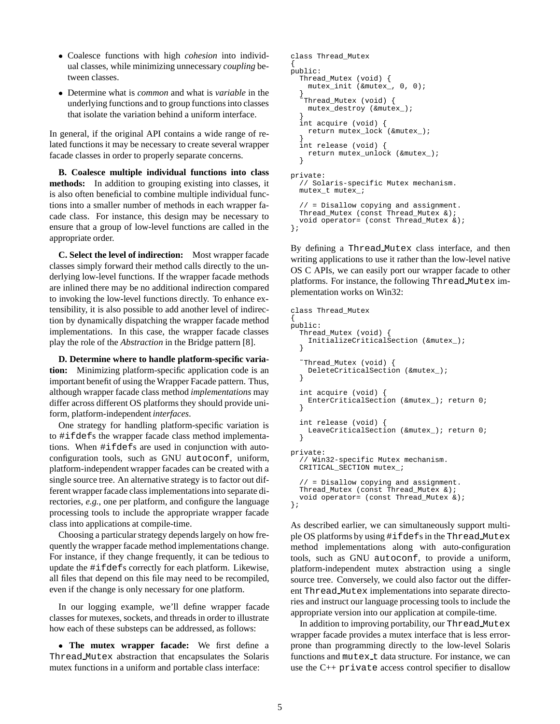- Coalesce functions with high *cohesion* into individual classes, while minimizing unnecessary *coupling* between classes.
- Determine what is *common* and what is *variable* in the underlying functions and to group functions into classes that isolate the variation behind a uniform interface.

In general, if the original API contains a wide range of related functions it may be necessary to create several wrapper facade classes in order to properly separate concerns.

**B. Coalesce multiple individual functions into class methods:** In addition to grouping existing into classes, it is also often beneficial to combine multiple individual functions into a smaller number of methods in each wrapper facade class. For instance, this design may be necessary to ensure that a group of low-level functions are called in the appropriate order.

**C. Select the level of indirection:** Most wrapper facade classes simply forward their method calls directly to the underlying low-level functions. If the wrapper facade methods are inlined there may be no additional indirection compared to invoking the low-level functions directly. To enhance extensibility, it is also possible to add another level of indirection by dynamically dispatching the wrapper facade method implementations. In this case, the wrapper facade classes play the role of the *Abstraction* in the Bridge pattern [8].

**D. Determine where to handle platform-specific variation:** Minimizing platform-specific application code is an important benefit of using the Wrapper Facade pattern. Thus, although wrapper facade class method *implementations* may differ across different OS platforms they should provide uniform, platform-independent *interfaces*.

One strategy for handling platform-specific variation is to #ifdefs the wrapper facade class method implementations. When #ifdefs are used in conjunction with autoconfiguration tools, such as GNU autoconf, uniform, platform-independent wrapper facades can be created with a single source tree. An alternative strategy is to factor out different wrapper facade class implementations into separate directories, *e.g.*, one per platform, and configure the language processing tools to include the appropriate wrapper facade class into applications at compile-time.

Choosing a particular strategy depends largely on how frequently the wrapper facade method implementations change. For instance, if they change frequently, it can be tedious to update the #ifdefs correctly for each platform. Likewise, all files that depend on this file may need to be recompiled, even if the change is only necessary for one platform.

In our logging example, we'll define wrapper facade classes for mutexes, sockets, and threads in order to illustrate how each of these substeps can be addressed, as follows:

 **The mutex wrapper facade:** We first define a Thread Mutex abstraction that encapsulates the Solaris mutex functions in a uniform and portable class interface:

```
class Thread_Mutex
{
public:
  Thread_Mutex (void) {
    mutex_init (&mutex_, 0, 0);
  }
   Thread_Mutex (void) {
    mutex_destroy (&mutex_);
  }
  int acquire (void) {
    return mutex_lock (&mutex_);
  }
  int release (void) {
    return mutex_unlock (&mutex_);
  }
private:
  // Solaris-specific Mutex mechanism.
  mutex_t mutex_;
  // = Disallow copying and assignment.
  Thread_Mutex (const Thread_Mutex &);
  void operator= (const Thread_Mutex &);
};
```
By defining a Thread Mutex class interface, and then writing applications to use it rather than the low-level native OS C APIs, we can easily port our wrapper facade to other platforms. For instance, the following Thread Mutex implementation works on Win32:

```
class Thread_Mutex
{
public:
 Thread_Mutex (void) {
    InitializeCriticalSection (&mutex_);
  }
  ˜Thread_Mutex (void) {
    DeleteCriticalSection (&mutex_);
  }
  int acquire (void) {
    EnterCriticalSection (&mutex ); return 0;
  }
  int release (void) {
   LeaveCriticalSection (&mutex_); return 0;
  }
private:
  // Win32-specific Mutex mechanism.
 CRITICAL_SECTION mutex_;
  // = Disallow copying and assignment.
 Thread_Mutex (const Thread_Mutex &);
 void operator= (const Thread_Mutex &);
};
```
As described earlier, we can simultaneously support multiple OS platforms by using #ifdefs in the Thread Mutex method implementations along with auto-configuration tools, such as GNU autoconf, to provide a uniform, platform-independent mutex abstraction using a single source tree. Conversely, we could also factor out the different Thread Mutex implementations into separate directories and instruct our language processing tools to include the appropriate version into our application at compile-time.

In addition to improving portability, our Thread Mutex wrapper facade provides a mutex interface that is less errorprone than programming directly to the low-level Solaris functions and mutex t data structure. For instance, we can use the C++ private access control specifier to disallow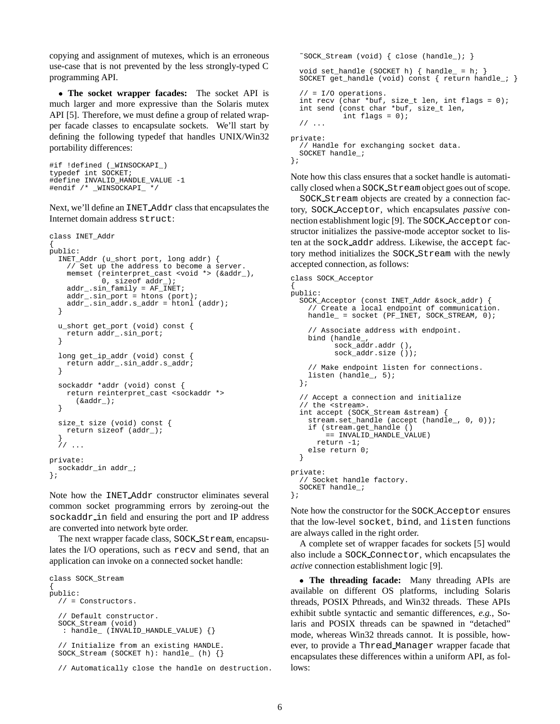copying and assignment of mutexes, which is an erroneous use-case that is not prevented by the less strongly-typed C programming API.

 **The socket wrapper facades:** The socket API is much larger and more expressive than the Solaris mutex API [5]. Therefore, we must define a group of related wrapper facade classes to encapsulate sockets. We'll start by defining the following typedef that handles UNIX/Win32 portability differences:

```
#if !defined (_WINSOCKAPI_)
typedef int SOCKET;
#define INVALID_HANDLE_VALUE -1
#endif /* _WINSOCKAPI_ */
```
Next, we'll define an INET Addr class that encapsulates the Internet domain address struct:

```
class INET_Addr
{
public:
 INET_Addr (u_short port, long addr) {
    // Set up the address to become a server.
   memset (reinterpret_cast <void *> (&addr_),
            0, sizeof addr_);
    addr_.sin_family = AF_INET;
    addr_.sin_port = htons (port);
    addr_.sin_addr.s_addr = htonl (addr);
  }
  u_short get_port (void) const {
   return addr_.sin_port;
  }
  long get_ip_addr (void) const {
    return addr_.sin_addr.s_addr;
  }
  sockaddr *addr (void) const {
    return reinterpret_cast <sockaddr *>
      (&addr_);
  }
  size_t size (void) const {
   return sizeof (addr_);
  }
  // ...
private:
 sockaddr_in addr_;
};
```
Note how the INET Addr constructor eliminates several common socket programming errors by zeroing-out the sockaddr in field and ensuring the port and IP address are converted into network byte order.

The next wrapper facade class, SOCK Stream, encapsulates the I/O operations, such as recv and send, that an application can invoke on a connected socket handle:

```
class SOCK_Stream
{
public:
  // = Constructors.
  // Default constructor.
  SOCK_Stream (void)
   : handle_ (INVALID_HANDLE_VALUE) {}
  // Initialize from an existing HANDLE.
  SOCK_Stream (SOCKET h): handle_ (h) {}
```
// Automatically close the handle on destruction.

```
~SOCK Stream (void) { close (handle ); }
 void set_handle (SOCKET h) { handle_ = h; }
 SOCKET get_handle (void) const { return handle_; }
  // = I/O operations.
  int recv (char *buf, size_t len, int flags = 0);
  int send (const char *buf, size_t len,
            int flags = 0);
  // ...
private:
  // Handle for exchanging socket data.
 SOCKET handle_;
};
```
Note how this class ensures that a socket handle is automatically closed when a SOCK Stream object goes out of scope.

SOCK Stream objects are created by a connection factory, SOCK Acceptor, which encapsulates *passive* connection establishment logic [9]. The SOCK Acceptor constructor initializes the passive-mode acceptor socket to listen at the sock addr address. Likewise, the accept factory method initializes the SOCK Stream with the newly accepted connection, as follows:

```
class SOCK_Acceptor
{
public:
  SOCK_Acceptor (const INET_Addr &sock_addr) {
    // Create a local endpoint of communication.
    handle_ = socket (PF_INET, SOCK_STREAM, 0);// Associate address with endpoint.
    bind (handle_,
          sock \overline{a}dx. addr (),
          sock_addr.size ());
    // Make endpoint listen for connections.
    listen (handle_, 5);
  };
  // Accept a connection and initialize
  // the <stream>.
  int accept (SOCK_Stream &stream) {
    stream.set_handle (accept (handle_, 0, 0));
    if (stream.get_handle ()
        == INVALID_HANDLE_VALUE)
      return -1;
    else return 0;
  }
private:
  // Socket handle factory.
  SOCKET handle_;
};
```
Note how the constructor for the SOCK Acceptor ensures that the low-level socket, bind, and listen functions are always called in the right order.

A complete set of wrapper facades for sockets [5] would also include a SOCK Connector, which encapsulates the *active* connection establishment logic [9].

 **The threading facade:** Many threading APIs are available on different OS platforms, including Solaris threads, POSIX Pthreads, and Win32 threads. These APIs exhibit subtle syntactic and semantic differences, *e.g.*, Solaris and POSIX threads can be spawned in "detached" mode, whereas Win32 threads cannot. It is possible, however, to provide a Thread Manager wrapper facade that encapsulates these differences within a uniform API, as follows: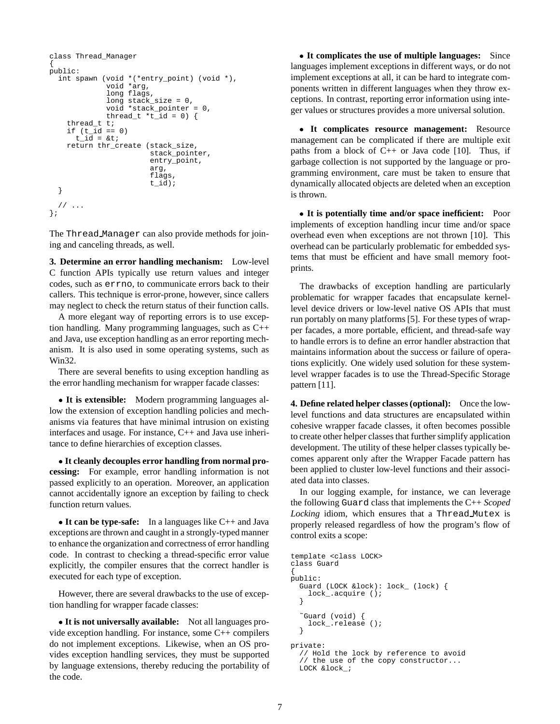```
class Thread_Manager
{
public:
  int spawn (void *(*entry_point) (void *),
              void *arg,
             long flags,
             long stack_size = 0,
             void *stack_pointer = 0,
             thread_t *t_id = 0 {
    thread t t;
    if (t_i/d) == 0)t id = 8tireturn thr_create (stack_size,
                        stack_pointer,
                        entry_point,
                        arg,
                        flags,
                        t_id);
  }
  // ...
};
```
The Thread Manager can also provide methods for joining and canceling threads, as well.

**3. Determine an error handling mechanism:** Low-level C function APIs typically use return values and integer codes, such as errno, to communicate errors back to their callers. This technique is error-prone, however, since callers may neglect to check the return status of their function calls.

A more elegant way of reporting errors is to use exception handling. Many programming languages, such as C++ and Java, use exception handling as an error reporting mechanism. It is also used in some operating systems, such as Win32.

There are several benefits to using exception handling as the error handling mechanism for wrapper facade classes:

 **It is extensible:** Modern programming languages allow the extension of exception handling policies and mechanisms via features that have minimal intrusion on existing interfaces and usage. For instance, C++ and Java use inheritance to define hierarchies of exception classes.

 **It cleanly decouples error handling from normal processing:** For example, error handling information is not passed explicitly to an operation. Moreover, an application cannot accidentally ignore an exception by failing to check function return values.

 **It can be type-safe:** In a languages like C++ and Java exceptions are thrown and caught in a strongly-typed manner to enhance the organization and correctness of error handling code. In contrast to checking a thread-specific error value explicitly, the compiler ensures that the correct handler is executed for each type of exception.

However, there are several drawbacks to the use of exception handling for wrapper facade classes:

 **It is not universally available:** Not all languages provide exception handling. For instance, some C++ compilers do not implement exceptions. Likewise, when an OS provides exception handling services, they must be supported by language extensions, thereby reducing the portability of the code.

 **It complicates the use of multiple languages:** Since languages implement exceptions in different ways, or do not implement exceptions at all, it can be hard to integrate components written in different languages when they throw exceptions. In contrast, reporting error information using integer values or structures provides a more universal solution.

 **It complicates resource management:** Resource management can be complicated if there are multiple exit paths from a block of  $C++$  or Java code [10]. Thus, if garbage collection is not supported by the language or programming environment, care must be taken to ensure that dynamically allocated objects are deleted when an exception is thrown.

 **It is potentially time and/or space inefficient:** Poor implements of exception handling incur time and/or space overhead even when exceptions are not thrown [10]. This overhead can be particularly problematic for embedded systems that must be efficient and have small memory footprints.

The drawbacks of exception handling are particularly problematic for wrapper facades that encapsulate kernellevel device drivers or low-level native OS APIs that must run portably on many platforms [5]. For these types of wrapper facades, a more portable, efficient, and thread-safe way to handle errors is to define an error handler abstraction that maintains information about the success or failure of operations explicitly. One widely used solution for these systemlevel wrapper facades is to use the Thread-Specific Storage pattern [11].

**4. Define related helper classes (optional):** Once the lowlevel functions and data structures are encapsulated within cohesive wrapper facade classes, it often becomes possible to create other helper classes that further simplify application development. The utility of these helper classes typically becomes apparent only after the Wrapper Facade pattern has been applied to cluster low-level functions and their associated data into classes.

In our logging example, for instance, we can leverage the following Guard class that implements the C++ *Scoped Locking* idiom, which ensures that a Thread Mutex is properly released regardless of how the program's flow of control exits a scope:

```
template <class LOCK>
class Guard
{
public:
  Guard (LOCK &lock): lock_ (lock) {
    lock_.acquire ();
  }
  ˜Guard (void) {
    lock_.release ();
  }
private:
  // Hold the lock by reference to avoid
  // the use of the copy constructor...
  LOCK &lock_;
```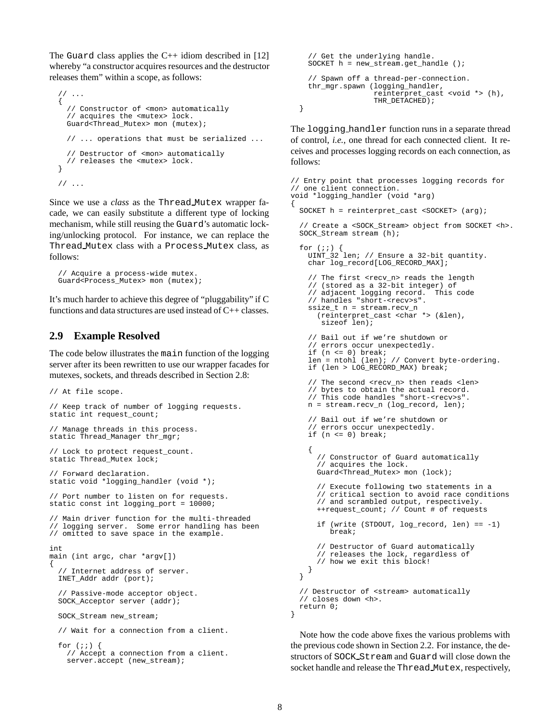The Guard class applies the  $C_{++}$  idiom described in [12] whereby "a constructor acquires resources and the destructor releases them" within a scope, as follows:

```
// ...
{
  // Constructor of <mon> automatically
  // acquires the <mutex> lock.
 Guard<Thread_Mutex> mon (mutex);
  // ... operations that must be serialized ...
   // Destructor of <mon> automatically
  // releases the <mutex> lock.
}
// ...
```
Since we use a *class* as the Thread Mutex wrapper facade, we can easily substitute a different type of locking mechanism, while still reusing the Guard's automatic locking/unlocking protocol. For instance, we can replace the Thread Mutex class with a Process Mutex class, as follows:

```
// Acquire a process-wide mutex.
Guard<Process_Mutex> mon (mutex);
```
It's much harder to achieve this degree of "pluggability" if C functions and data structures are used instead of C++ classes.

### **2.9 Example Resolved**

The code below illustrates the main function of the logging server after its been rewritten to use our wrapper facades for mutexes, sockets, and threads described in Section 2.8:

```
// At file scope.
// Keep track of number of logging requests.
static int request_count;
// Manage threads in this process.
static Thread_Manager thr_mgr;
// Lock to protect request_count.
static Thread_Mutex lock;
// Forward declaration.
static void *logging_handler (void *);
// Port number to listen on for requests.
static const int logging_port = 10000;
// Main driver function for the multi-threaded
// logging server. Some error handling has been
// omitted to save space in the example.
int
main (int argc, char *argv[])
{
  // Internet address of server.
  INET_Addr addr (port);
  // Passive-mode acceptor object.
 SOCK_Acceptor server (addr);
  SOCK_Stream new_stream;
  // Wait for a connection from a client.
  for (i; j) {
    // Accept a connection from a client.
```
server.accept (new\_stream);

```
// Get the underlying handle.
  SOCKET h = new_stream.get_handle ();
  // Spawn off a thread-per-connection.
  thr_mgr.spawn (logging_handler,
                 reinterpret_cast <void *> (h),
                 THR_DETACHED) ;
}
```
The logging handler function runs in a separate thread of control, *i.e.*, one thread for each connected client. It receives and processes logging records on each connection, as follows:

```
// Entry point that processes logging records for
// one client connection.
void *logging_handler (void *arg)
{
  SOCKET h = reinterpret_cast <SOCKET> (arg);
  // Create a <SOCK_Stream> object from SOCKET <h>.
  SOCK_Stream stream (h);
  for (i; j) {
    UINT_32 len; // Ensure a 32-bit quantity.
    char log_record[LOG_RECORD_MAX];
    // The first <recv n> reads the length
    // (stored as a 32-bit integer) of
    // adjacent logging record. This code
    // handles "short-<recv>s".
    ssize_t n = stream.recv_n
      (reinterpret_cast <char *> (&len),
       sizeof len);
    // Bail out if we're shutdown or
    // errors occur unexpectedly.
    if (n \leq 0) break;
    len = ntohl (len); // Convert byte-ordering.
    if (len > LOG_RECORD_MAX) break;
    // The second <recv_n> then reads <len>
    // bytes to obtain the actual record.
    // This code handles "short-<recv>s".
   n = stream.recv_n (log_record, len);
    // Bail out if we're shutdown or
    // errors occur unexpectedly.
   if (n <= 0) break;
    {
     // Constructor of Guard automatically
      // acquires the lock.
     Guard<Thread_Mutex> mon (lock);
      // Execute following two statements in a
     // critical section to avoid race conditions
      // and scrambled output, respectively.
     ++request_count; // Count # of requests
     if (write (STDOUT, log_record, len) == -1)
         break;
      // Destructor of Guard automatically
      // releases the lock, regardless of
      // how we exit this block!
    }
 }
  // Destructor of <stream> automatically
  // closes down <h>.
 return 0;
}
```
Note how the code above fixes the various problems with the previous code shown in Section 2.2. For instance, the destructors of SOCK Stream and Guard will close down the socket handle and release the Thread Mutex, respectively,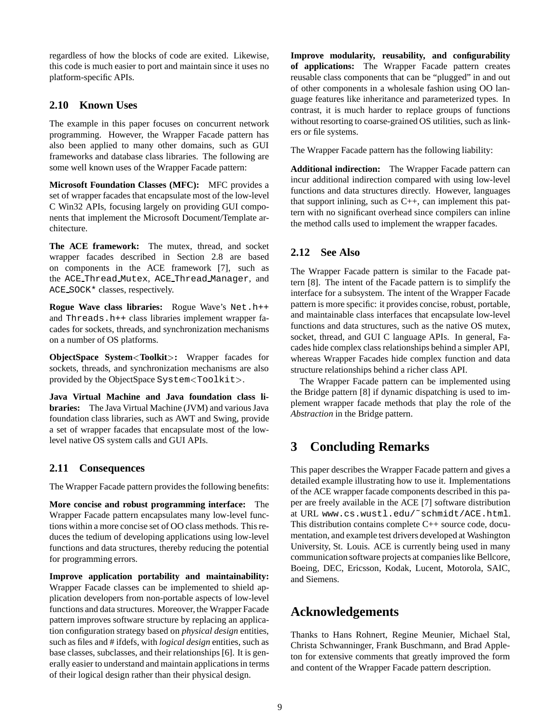regardless of how the blocks of code are exited. Likewise, this code is much easier to port and maintain since it uses no platform-specific APIs.

## **2.10 Known Uses**

The example in this paper focuses on concurrent network programming. However, the Wrapper Facade pattern has also been applied to many other domains, such as GUI frameworks and database class libraries. The following are some well known uses of the Wrapper Facade pattern:

**Microsoft Foundation Classes (MFC):** MFC provides a set of wrapper facades that encapsulate most of the low-level C Win32 APIs, focusing largely on providing GUI components that implement the Microsoft Document/Template architecture.

**The ACE framework:** The mutex, thread, and socket wrapper facades described in Section 2.8 are based on components in the ACE framework [7], such as the ACE Thread Mutex, ACE Thread Manager, and ACE SOCK\* classes, respectively.

**Rogue Wave class libraries:** Rogue Wave's Net.h++ and Threads.h++ class libraries implement wrapper facades for sockets, threads, and synchronization mechanisms on a number of OS platforms.

**ObjectSpace System**<**Toolkit**>**:** Wrapper facades for sockets, threads, and synchronization mechanisms are also provided by the ObjectSpace System<Toolkit>.

**Java Virtual Machine and Java foundation class libraries:** The Java Virtual Machine (JVM) and various Java foundation class libraries, such as AWT and Swing, provide a set of wrapper facades that encapsulate most of the lowlevel native OS system calls and GUI APIs.

### **2.11 Consequences**

The Wrapper Facade pattern provides the following benefits:

**More concise and robust programming interface:** The Wrapper Facade pattern encapsulates many low-level functions within a more concise set of OO class methods. This reduces the tedium of developing applications using low-level functions and data structures, thereby reducing the potential for programming errors.

**Improve application portability and maintainability:** Wrapper Facade classes can be implemented to shield application developers from non-portable aspects of low-level functions and data structures. Moreover, the Wrapper Facade pattern improves software structure by replacing an application configuration strategy based on *physical design* entities, such as files and # ifdefs, with *logical design* entities, such as base classes, subclasses, and their relationships [6]. It is generally easier to understand and maintain applications in terms of their logical design rather than their physical design.

**Improve modularity, reusability, and configurability of applications:** The Wrapper Facade pattern creates reusable class components that can be "plugged" in and out of other components in a wholesale fashion using OO language features like inheritance and parameterized types. In contrast, it is much harder to replace groups of functions without resorting to coarse-grained OS utilities, such as linkers or file systems.

The Wrapper Facade pattern has the following liability:

**Additional indirection:** The Wrapper Facade pattern can incur additional indirection compared with using low-level functions and data structures directly. However, languages that support inlining, such as C++, can implement this pattern with no significant overhead since compilers can inline the method calls used to implement the wrapper facades.

### **2.12 See Also**

The Wrapper Facade pattern is similar to the Facade pattern [8]. The intent of the Facade pattern is to simplify the interface for a subsystem. The intent of the Wrapper Facade pattern is more specific: it provides concise, robust, portable, and maintainable class interfaces that encapsulate low-level functions and data structures, such as the native OS mutex, socket, thread, and GUI C language APIs. In general, Facades hide complex class relationships behind a simpler API, whereas Wrapper Facades hide complex function and data structure relationships behind a richer class API.

The Wrapper Facade pattern can be implemented using the Bridge pattern [8] if dynamic dispatching is used to implement wrapper facade methods that play the role of the *Abstraction* in the Bridge pattern.

# **3 Concluding Remarks**

This paper describes the Wrapper Facade pattern and gives a detailed example illustrating how to use it. Implementations of the ACE wrapper facade components described in this paper are freely available in the ACE [7] software distribution at URL www.cs.wustl.edu/˜schmidt/ACE.html. This distribution contains complete C++ source code, documentation, and example test drivers developed at Washington University, St. Louis. ACE is currently being used in many communication software projects at companies like Bellcore, Boeing, DEC, Ericsson, Kodak, Lucent, Motorola, SAIC, and Siemens.

# **Acknowledgements**

Thanks to Hans Rohnert, Regine Meunier, Michael Stal, Christa Schwanninger, Frank Buschmann, and Brad Appleton for extensive comments that greatly improved the form and content of the Wrapper Facade pattern description.